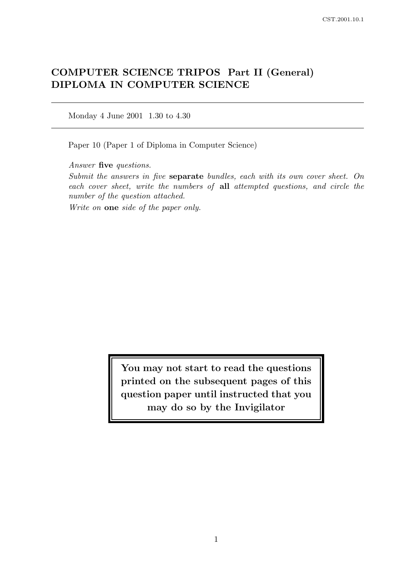# COMPUTER SCIENCE TRIPOS Part II (General) DIPLOMA IN COMPUTER SCIENCE

Monday 4 June 2001 1.30 to 4.30

Paper 10 (Paper 1 of Diploma in Computer Science)

Answer five questions.

Submit the answers in five separate bundles, each with its own cover sheet. On each cover sheet, write the numbers of all attempted questions, and circle the number of the question attached.

Write on one side of the paper only.

You may not start to read the questions printed on the subsequent pages of this question paper until instructed that you may do so by the Invigilator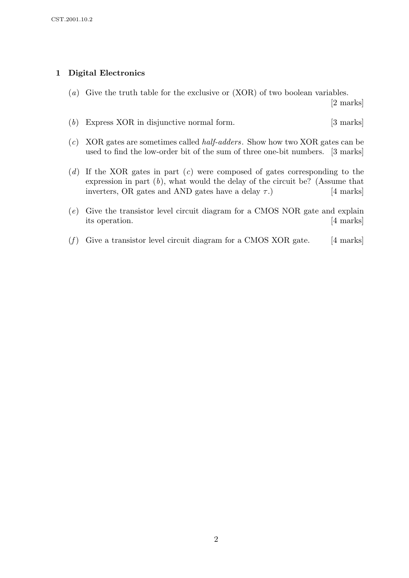### 1 Digital Electronics

(a) Give the truth table for the exclusive or (XOR) of two boolean variables.

[2 marks]

- (b) Express XOR in disjunctive normal form. [3 marks]
- (c) XOR gates are sometimes called half-adders. Show how two XOR gates can be used to find the low-order bit of the sum of three one-bit numbers. [3 marks]
- (d) If the XOR gates in part  $(c)$  were composed of gates corresponding to the expression in part  $(b)$ , what would the delay of the circuit be? (Assume that inverters, OR gates and AND gates have a delay  $\tau$ .) [4 marks]
- (e) Give the transistor level circuit diagram for a CMOS NOR gate and explain its operation. [4 marks]
- (f) Give a transistor level circuit diagram for a CMOS XOR gate.  $[4 \text{ marks}]$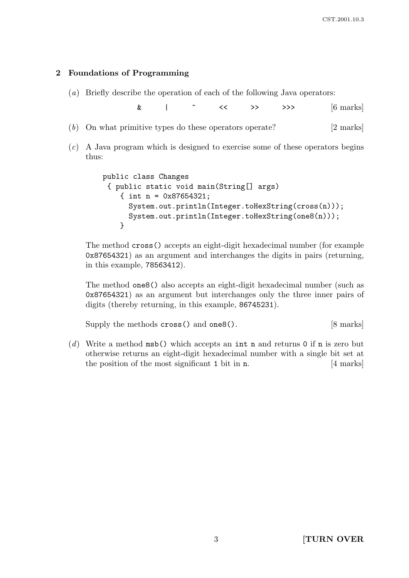#### 2 Foundations of Programming

(a) Briefly describe the operation of each of the following Java operators:

 $\&$  | ^ << >> >> >>  $[6 \text{ marks}]$ 

- (b) On what primitive types do these operators operate? [2 marks]
- (c) A Java program which is designed to exercise some of these operators begins thus:

```
public class Changes
 { public static void main(String[] args)
    { int n = 0x87654321;
      System.out.println(Integer.toHexString(cross(n)));
      System.out.println(Integer.toHexString(one8(n)));
    }
```
The method cross() accepts an eight-digit hexadecimal number (for example 0x87654321) as an argument and interchanges the digits in pairs (returning, in this example, 78563412).

The method one8() also accepts an eight-digit hexadecimal number (such as 0x87654321) as an argument but interchanges only the three inner pairs of digits (thereby returning, in this example, 86745231).

Supply the methods cross() and one8(). [8 marks]

(d) Write a method  $msb()$  which accepts an int n and returns 0 if n is zero but otherwise returns an eight-digit hexadecimal number with a single bit set at the position of the most significant 1 bit in n. [4 marks]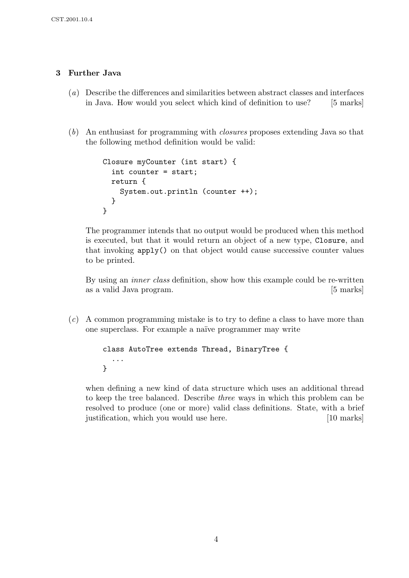### 3 Further Java

- (a) Describe the differences and similarities between abstract classes and interfaces in Java. How would you select which kind of definition to use? [5 marks]
- (b) An enthusiast for programming with closures proposes extending Java so that the following method definition would be valid:

```
Closure myCounter (int start) {
  int counter = start;
  return {
    System.out.println (counter ++);
  }
}
```
The programmer intends that no output would be produced when this method is executed, but that it would return an object of a new type, Closure, and that invoking apply() on that object would cause successive counter values to be printed.

By using an inner class definition, show how this example could be re-written as a valid Java program. [5 marks]

(c) A common programming mistake is to try to define a class to have more than one superclass. For example a naïve programmer may write

```
class AutoTree extends Thread, BinaryTree {
  ...
}
```
when defining a new kind of data structure which uses an additional thread to keep the tree balanced. Describe three ways in which this problem can be resolved to produce (one or more) valid class definitions. State, with a brief justification, which you would use here. [10 marks]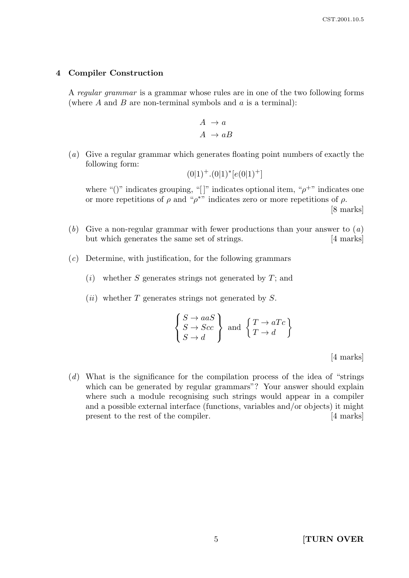#### 4 Compiler Construction

A regular grammar is a grammar whose rules are in one of the two following forms (where  $A$  and  $B$  are non-terminal symbols and  $a$  is a terminal):

$$
\begin{array}{c} A \rightarrow a \\ A \rightarrow aB \end{array}
$$

(a) Give a regular grammar which generates floating point numbers of exactly the following form:

$$
(0|1)^+.(0|1)^*[e(0|1)^+]
$$

where "()" indicates grouping, "[]" indicates optional item, " $\rho^{+}$ " indicates one or more repetitions of  $\rho$  and " $\rho^*$ " indicates zero or more repetitions of  $\rho$ .

[8 marks]

- (b) Give a non-regular grammar with fewer productions than your answer to  $(a)$ but which generates the same set of strings. [4 marks]
- (c) Determine, with justification, for the following grammars
	- $(i)$  whether S generates strings not generated by T; and
	- $(ii)$  whether T generates strings not generated by S.

$$
\begin{Bmatrix} S \to aaS \\ S \to Scc \\ S \to d \end{Bmatrix} \text{ and } \begin{Bmatrix} T \to aTc \\ T \to d \end{Bmatrix}
$$

[4 marks]

(d) What is the significance for the compilation process of the idea of "strings which can be generated by regular grammars"? Your answer should explain where such a module recognising such strings would appear in a compiler and a possible external interface (functions, variables and/or objects) it might present to the rest of the compiler. [4 marks]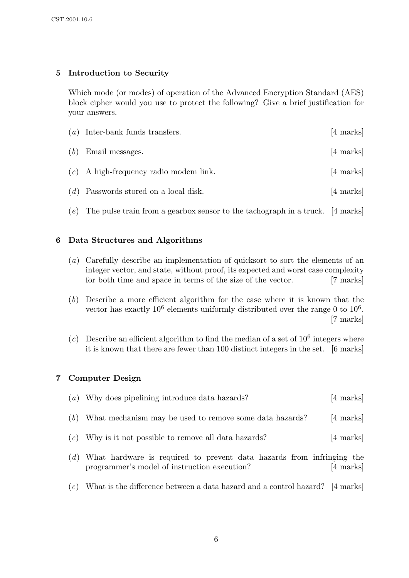### 5 Introduction to Security

Which mode (or modes) of operation of the Advanced Encryption Standard (AES) block cipher would you use to protect the following? Give a brief justification for your answers.

|     | $(a)$ Inter-bank funds transfers.                                                 | $[4 \text{ marks}]$ |
|-----|-----------------------------------------------------------------------------------|---------------------|
| (b) | Email messages.                                                                   | $[4 \text{ marks}]$ |
|     | $(c)$ A high-frequency radio modem link.                                          | [4 marks]           |
|     | $(d)$ Passwords stored on a local disk.                                           | [4 marks]           |
|     | (e) The pulse train from a gearbox sensor to the tachograph in a truck. [4 marks] |                     |

## 6 Data Structures and Algorithms

- (a) Carefully describe an implementation of quicksort to sort the elements of an integer vector, and state, without proof, its expected and worst case complexity for both time and space in terms of the size of the vector. [7 marks]
- (b) Describe a more efficient algorithm for the case where it is known that the vector has exactly  $10^6$  elements uniformly distributed over the range 0 to  $10^6$ . [7 marks]
- (c) Describe an efficient algorithm to find the median of a set of  $10^6$  integers where it is known that there are fewer than 100 distinct integers in the set. [6 marks]

#### 7 Computer Design

|     | (a) Why does pipelining introduce data hazards?                                                                       | $[4 \text{ marks}]$ |
|-----|-----------------------------------------------------------------------------------------------------------------------|---------------------|
| (b) | What mechanism may be used to remove some data hazards?                                                               | $[4 \text{ marks}]$ |
| (c) | Why is it not possible to remove all data hazards?                                                                    | $[4 \text{ marks}]$ |
| (d) | What hardware is required to prevent data hazards from infringing the<br>programmer's model of instruction execution? | [4 marks]           |

 $(e)$  What is the difference between a data hazard and a control hazard? [4 marks]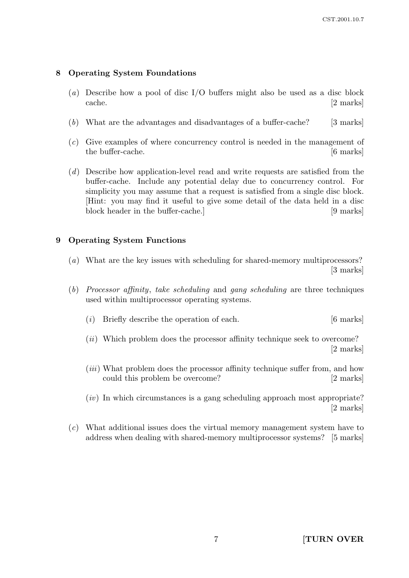### 8 Operating System Foundations

- (a) Describe how a pool of disc I/O buffers might also be used as a disc block cache. [2 marks]
- (b) What are the advantages and disadvantages of a buffer-cache? [3 marks]
- (c) Give examples of where concurrency control is needed in the management of the buffer-cache. [6 marks]
- (d) Describe how application-level read and write requests are satisfied from the buffer-cache. Include any potential delay due to concurrency control. For simplicity you may assume that a request is satisfied from a single disc block. [Hint: you may find it useful to give some detail of the data held in a disc block header in the buffer-cache.] [9 marks]

#### 9 Operating System Functions

- (a) What are the key issues with scheduling for shared-memory multiprocessors? [3 marks]
- (b) Processor affinity, take scheduling and gang scheduling are three techniques used within multiprocessor operating systems.
	- (i) Briefly describe the operation of each. [6 marks]
	- (*ii*) Which problem does the processor affinity technique seek to overcome? [2 marks]
	- (*iii*) What problem does the processor affinity technique suffer from, and how could this problem be overcome? [2 marks]
	- $(iv)$  In which circumstances is a gang scheduling approach most appropriate? [2 marks]
- (c) What additional issues does the virtual memory management system have to address when dealing with shared-memory multiprocessor systems? [5 marks]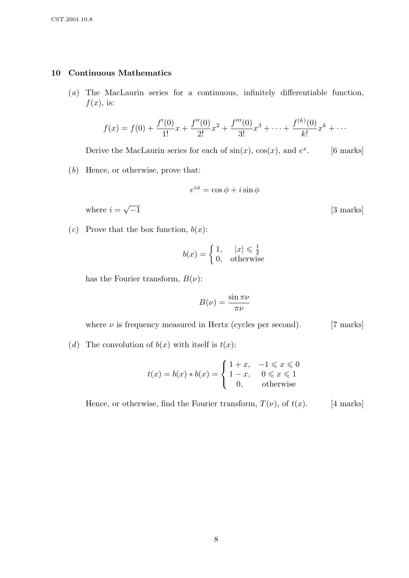#### 10 Continuous Mathematics

(a) The MacLaurin series for a continuous, infinitely differentiable function,  $f(x)$ , is:

$$
f(x) = f(0) + \frac{f'(0)}{1!}x + \frac{f''(0)}{2!}x^2 + \frac{f'''(0)}{3!}x^3 + \dots + \frac{f^{(k)}(0)}{k!}x^k + \dots
$$

Derive the MacLaurin series for each of  $sin(x)$ ,  $cos(x)$ , and  $e^x$ [6 marks]

(b) Hence, or otherwise, prove that:

$$
e^{i\phi} = \cos\phi + i\sin\phi
$$

[3 marks]

where  $i =$ √

(c) Prove that the box function,  $b(x)$ :

$$
b(x) = \begin{cases} 1, & |x| \le \frac{1}{2} \\ 0, & \text{otherwise} \end{cases}
$$

has the Fourier transform,  $B(\nu)$ :

$$
B(\nu) = \frac{\sin \pi \nu}{\pi \nu}
$$

where  $\nu$  is frequency measured in Hertz (cycles per second). [7 marks]

(d) The convolution of  $b(x)$  with itself is  $t(x)$ :

$$
t(x) = b(x) * b(x) = \begin{cases} 1+x, & -1 \leq x \leq 0 \\ 1-x, & 0 \leq x \leq 1 \\ 0, & \text{otherwise} \end{cases}
$$

Hence, or otherwise, find the Fourier transform,  $T(\nu)$ , of  $t(x)$ . [4 marks]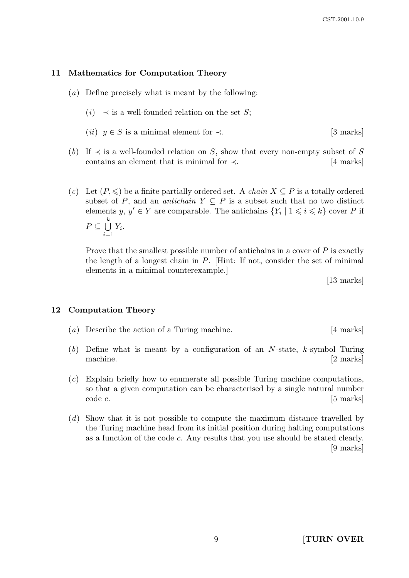#### 11 Mathematics for Computation Theory

- (a) Define precisely what is meant by the following:
	- (*i*)  $\prec$  is a well-founded relation on the set S;
	- (*ii*)  $y \in S$  is a minimal element for  $\prec$ . [3 marks]
- (b) If  $\prec$  is a well-founded relation on S, show that every non-empty subset of S contains an element that is minimal for  $\prec$ . [4 marks]
- (c) Let  $(P, \leqslant)$  be a finite partially ordered set. A *chain*  $X \subseteq P$  is a totally ordered subset of P, and an *antichain*  $Y \subseteq P$  is a subset such that no two distinct elements  $y, y' \in Y$  are comparable. The antichains  $\{Y_i \mid 1 \leq i \leq k\}$  cover P if  $P \subseteq U$ k  $i=1$  $Y_i.$

Prove that the smallest possible number of antichains in a cover of  $P$  is exactly the length of a longest chain in P. [Hint: If not, consider the set of minimal elements in a minimal counterexample.]

[13 marks]

#### 12 Computation Theory

- (a) Describe the action of a Turing machine. [4 marks]
- (b) Define what is meant by a configuration of an  $N$ -state,  $k$ -symbol Turing machine. [2 marks]
- (c) Explain briefly how to enumerate all possible Turing machine computations, so that a given computation can be characterised by a single natural number code c. [5 marks]
- (d) Show that it is not possible to compute the maximum distance travelled by the Turing machine head from its initial position during halting computations as a function of the code c. Any results that you use should be stated clearly. [9 marks]